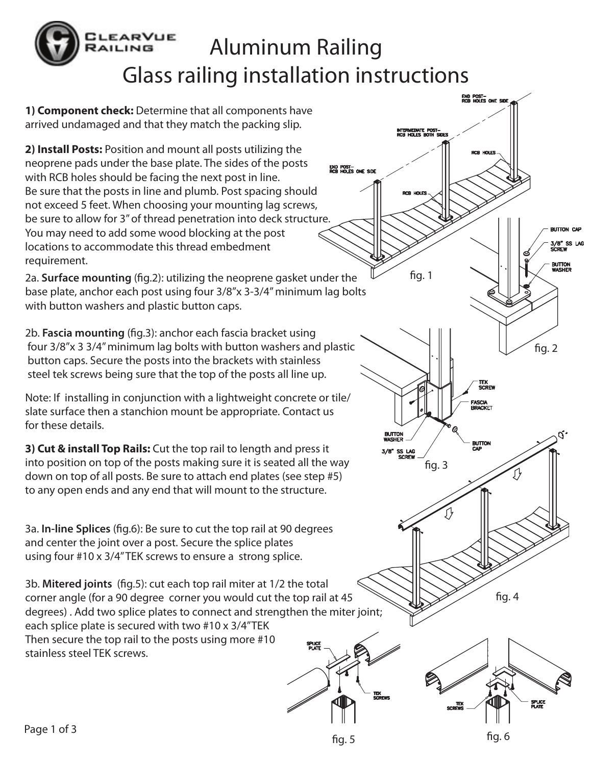## **EARVUE** Aluminum Railing RAILING Glass railing installation instructions

**1) Component check:** Determine that all components have arrived undamaged and that they match the packing slip.

**2) Install Posts:** Position and mount all posts utilizing the neoprene pads under the base plate. The sides of the posts with RCB holes should be facing the next post in line. Be sure that the posts in line and plumb. Post spacing should not exceed 5 feet. When choosing your mounting lag screws, be sure to allow for 3" of thread penetration into deck structure. You may need to add some wood blocking at the post locations to accommodate this thread embedment requirement.

2a. **Surface mounting** (fig.2): utilizing the neoprene gasket under the base plate, anchor each post using four 3/8"x 3-3/4" minimum lag bolts with button washers and plastic button caps.

2b. **Fascia mounting** (fig.3): anchor each fascia bracket using four 3/8"x 3 3/4" minimum lag bolts with button washers and plastic button caps. Secure the posts into the brackets with stainless steel tek screws being sure that the top of the posts all line up.

Note: If installing in conjunction with a lightweight concrete or tile/ slate surface then a stanchion mount be appropriate. Contact us for these details.

**3) Cut & install Top Rails:** Cut the top rail to length and press it into position on top of the posts making sure it is seated all the way down on top of all posts. Be sure to attach end plates (see step #5) to any open ends and any end that will mount to the structure.

3a. In-line Splices (fig.6): Be sure to cut the top rail at 90 degrees and center the joint over a post. Secure the splice plates using four #10 x 3/4" TEK screws to ensure a strong splice.

3b. Mitered joints (fig.5): cut each top rail miter at 1/2 the total corner angle (for a 90 degree corner you would cut the top rail at 45 degrees) . Add two splice plates to connect and strengthen the miter joint; each splice plate is secured with two #10 x 3/4"TEK Then secure the top rail to the posts using more #10 **SPLICE** stainless steel TEK screws.

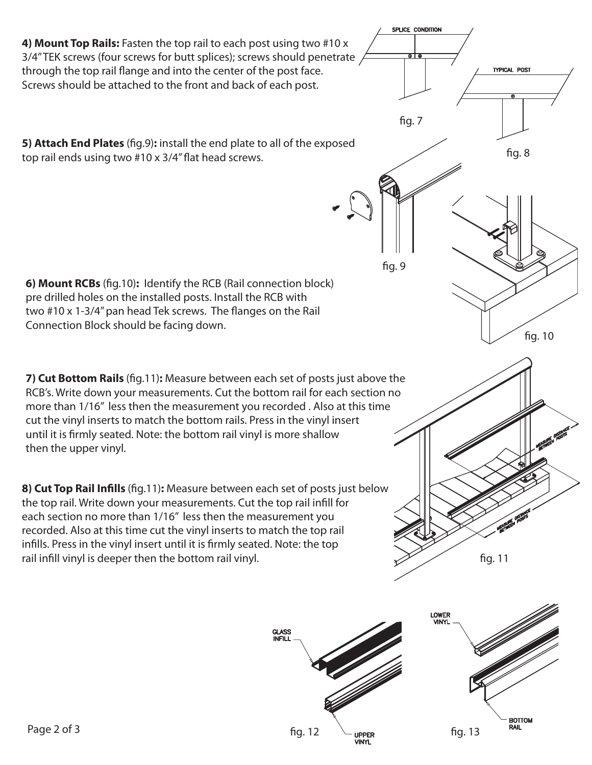